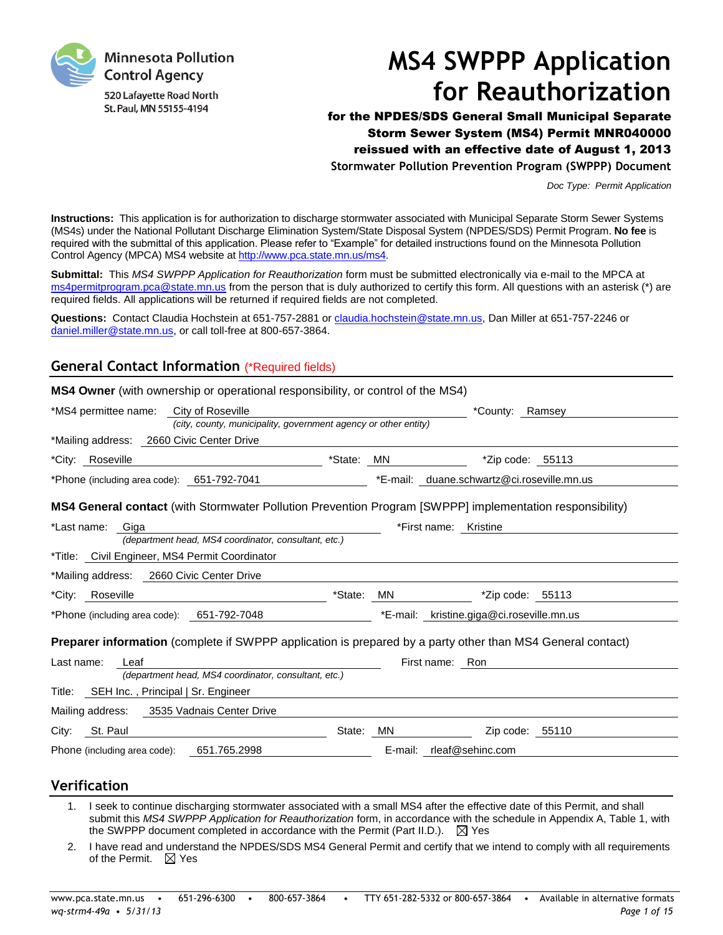

# **MS4 SWPPP Application for Reauthorization**

for the NPDES/SDS General Small Municipal Separate Storm Sewer System (MS4) Permit MNR040000 reissued with an effective date of August 1, 2013 **Stormwater Pollution Prevention Program (SWPPP) Document**

*Doc Type: Permit Application*

**Instructions:** This application is for authorization to discharge stormwater associated with Municipal Separate Storm Sewer Systems (MS4s) under the National Pollutant Discharge Elimination System/State Disposal System (NPDES/SDS) Permit Program. **No fee** is required with the submittal of this application. Please refer to "Example" for detailed instructions found on the Minnesota Pollution Control Agency (MPCA) MS4 website at [http://www.pca.state.mn.us/ms4.](http://www.pca.state.mn.us/ms4)

**Submittal:** This *MS4 SWPPP Application for Reauthorization* form must be submitted electronically via e-mail to the MPCA at [ms4permitprogram.pca@state.mn.us](mailto:ms4permitprogram.pca@state.mn.us) from the person that is duly authorized to certify this form. All questions with an asterisk (\*) are required fields. All applications will be returned if required fields are not completed.

**Questions:** Contact Claudia Hochstein at 651-757-2881 or [claudia.hochstein@state.mn.us,](mailto:claudia.hochstein@state.mn.us) Dan Miller at 651-757-2246 or [daniel.miller@state.mn.us,](mailto:daniel.miller@state.mn.us) or call toll-free at 800-657-3864.

## **General Contact Information** (\*Required fields)

| <b>MS4 Owner</b> (with ownership or operational responsibility, or control of the MS4) |                                                                                                                   |
|----------------------------------------------------------------------------------------|-------------------------------------------------------------------------------------------------------------------|
| City of Roseville<br>*MS4 permittee name:                                              | *County: Ramsey                                                                                                   |
|                                                                                        | (city, county, municipality, government agency or other entity)                                                   |
| *Mailing address: 2660 Civic Center Drive                                              |                                                                                                                   |
| *City: Roseville                                                                       | *State:<br>MN<br>$*$ Zip code: 55113                                                                              |
| *Phone (including area code): 651-792-7041                                             | *E-mail: duane.schwartz@ci.roseville.mn.us                                                                        |
|                                                                                        | <b>MS4 General contact</b> (with Stormwater Pollution Prevention Program [SWPPP] implementation responsibility)   |
| *Last name:<br>Giga                                                                    | *First name: Kristine                                                                                             |
| (department head, MS4 coordinator, consultant, etc.)                                   |                                                                                                                   |
| *Title: Civil Engineer, MS4 Permit Coordinator                                         |                                                                                                                   |
| *Mailing address: 2660 Civic Center Drive                                              |                                                                                                                   |
| Roseville<br>*City:                                                                    | *State:<br>MN<br>*Zip code: 55113                                                                                 |
| *Phone (including area code): 651-792-7048                                             | kristine.giga@ci.roseville.mn.us<br>*E-mail:                                                                      |
|                                                                                        | <b>Preparer information</b> (complete if SWPPP application is prepared by a party other than MS4 General contact) |
| Last name:<br>Leaf                                                                     | First name: Ron                                                                                                   |
| (department head, MS4 coordinator, consultant, etc.)                                   |                                                                                                                   |
| Title: SEH Inc., Principal   Sr. Engineer                                              |                                                                                                                   |
| Mailing address: 3535 Vadnais Center Drive                                             |                                                                                                                   |
| St. Paul<br>City:                                                                      | State: MN<br>Zip code: 55110                                                                                      |
| 651.765.2998<br>Phone (including area code):                                           | E-mail: rleaf@sehinc.com                                                                                          |
|                                                                                        |                                                                                                                   |

## **Verification**

- 1. I seek to continue discharging stormwater associated with a small MS4 after the effective date of this Permit, and shall submit this *MS4 SWPPP Application for Reauthorization* form, in accordance with the schedule in Appendix A, Table 1, with the SWPPP document completed in accordance with the Permit (Part II.D.).  $\boxtimes$  Yes
- 2. I have read and understand the NPDES/SDS MS4 General Permit and certify that we intend to comply with all requirements of the Permit.  $\boxtimes$  Yes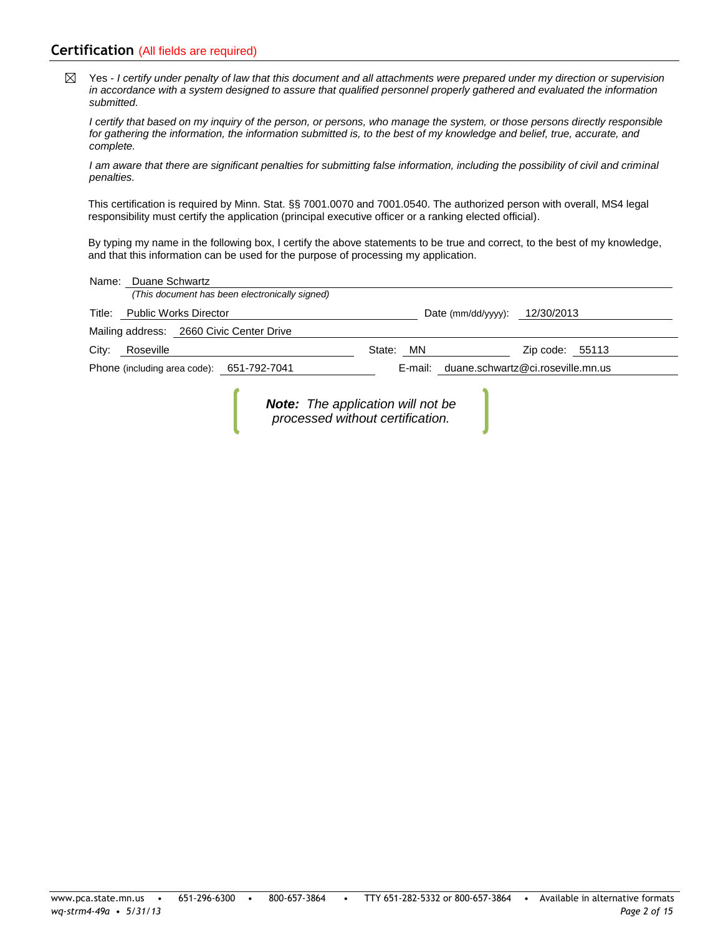## **Certification** (All fields are required)

Yes - *I certify under penalty of law that this document and all attachments were prepared under my direction or supervision*   $\boxtimes$ *in accordance with a system designed to assure that qualified personnel properly gathered and evaluated the information submitted.*

*I certify that based on my inquiry of the person, or persons, who manage the system, or those persons directly responsible*  for gathering the information, the information submitted is, to the best of my knowledge and belief, true, accurate, and *complete.*

*I am aware that there are significant penalties for submitting false information, including the possibility of civil and criminal penalties.*

This certification is required by Minn. Stat. §§ 7001.0070 and 7001.0540. The authorized person with overall, MS4 legal responsibility must certify the application (principal executive officer or a ranking elected official).

By typing my name in the following box, I certify the above statements to be true and correct, to the best of my knowledge, and that this information can be used for the purpose of processing my application.

|       | Name: Duane Schwartz                                                                   |                                                                              |                 |  |  |
|-------|----------------------------------------------------------------------------------------|------------------------------------------------------------------------------|-----------------|--|--|
|       | (This document has been electronically signed)                                         |                                                                              |                 |  |  |
|       | Title: Public Works Director                                                           | Date (mm/dd/yyyy): $12/30/2013$                                              |                 |  |  |
|       | Mailing address: 2660 Civic Center Drive                                               |                                                                              |                 |  |  |
| City: | Roseville                                                                              | State:<br>MN.                                                                | Zip code: 55113 |  |  |
|       | E-mail: duane.schwartz@ci.roseville.mn.us<br>Phone (including area code): 651-792-7041 |                                                                              |                 |  |  |
|       |                                                                                        | <b>Note:</b> The application will not be<br>processed without certification. |                 |  |  |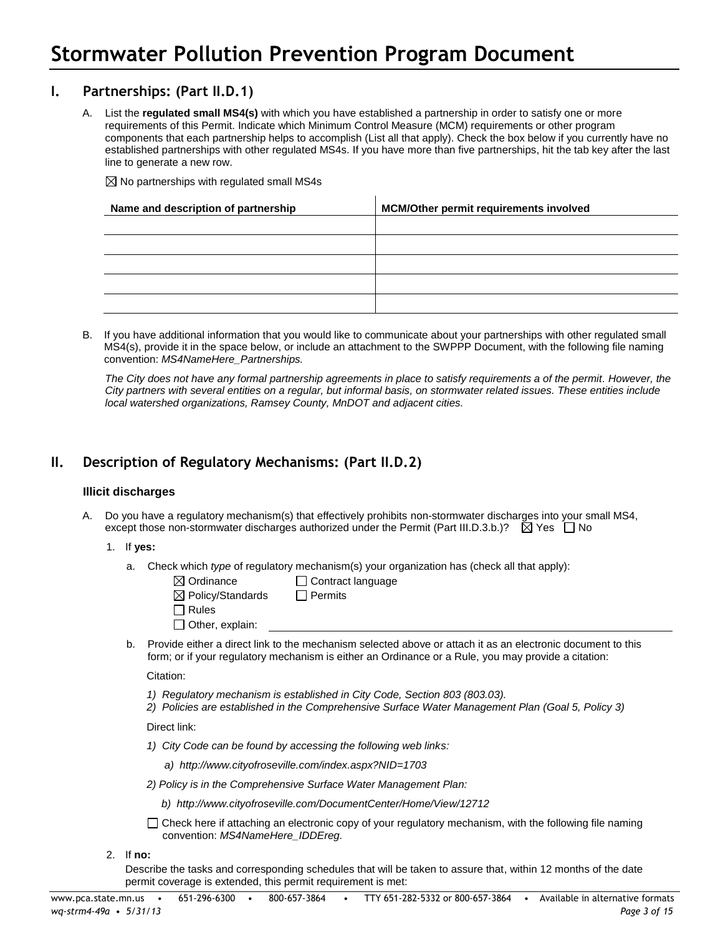## **I. Partnerships: (Part II.D.1)**

A. List the **regulated small MS4(s)** with which you have established a partnership in order to satisfy one or more requirements of this Permit. Indicate which Minimum Control Measure (MCM) requirements or other program components that each partnership helps to accomplish (List all that apply). Check the box below if you currently have no established partnerships with other regulated MS4s. If you have more than five partnerships, hit the tab key after the last line to generate a new row.

 $\boxtimes$  No partnerships with regulated small MS4s

| Name and description of partnership | <b>MCM/Other permit requirements involved</b> |
|-------------------------------------|-----------------------------------------------|
|                                     |                                               |
|                                     |                                               |
|                                     |                                               |
|                                     |                                               |
|                                     |                                               |

B. If you have additional information that you would like to communicate about your partnerships with other regulated small MS4(s), provide it in the space below, or include an attachment to the SWPPP Document, with the following file naming convention: *MS4NameHere\_Partnerships.*

The City does not have any formal partnership agreements in place to satisfy requirements a of the permit. However, the *City partners with several entities on a regular, but informal basis, on stormwater related issues. These entities include local watershed organizations, Ramsey County, MnDOT and adjacent cities.*

## **II. Description of Regulatory Mechanisms: (Part II.D.2)**

## **Illicit discharges**

A. Do you have a regulatory mechanism(s) that effectively prohibits non-stormwater discharges into your small MS4, except those non-stormwater discharges authorized under the Permit (Part III.D.3.b.)?  $\boxtimes$  Yes  $\Box$  No

## 1. If **yes:**

a. Check which *type* of regulatory mechanism(s) your organization has (check all that apply):

| $\boxtimes$ Ordinance        | $\Box$ Contract language |
|------------------------------|--------------------------|
| $\boxtimes$ Policy/Standards | $\Box$ Permits           |
| $\Box$ Rules                 |                          |
| $\Box$ Other, explain:       |                          |
|                              |                          |

b. Provide either a direct link to the mechanism selected above or attach it as an electronic document to this form; or if your regulatory mechanism is either an Ordinance or a Rule, you may provide a citation:

Citation:

- *1) Regulatory mechanism is established in City Code, Section 803 (803.03).*
- *2) Policies are established in the Comprehensive Surface Water Management Plan (Goal 5, Policy 3)*

Direct link:

- *1) City Code can be found by accessing the following web links:*
	- *a) http://www.cityofroseville.com/index.aspx?NID=1703*
- *2) Policy is in the Comprehensive Surface Water Management Plan:*
	- *b) http://www.cityofroseville.com/DocumentCenter/Home/View/12712*
- $\Box$  Check here if attaching an electronic copy of your regulatory mechanism, with the following file naming convention: *MS4NameHere\_IDDEreg.*
- 2. If **no:**

Describe the tasks and corresponding schedules that will be taken to assure that, within 12 months of the date permit coverage is extended, this permit requirement is met: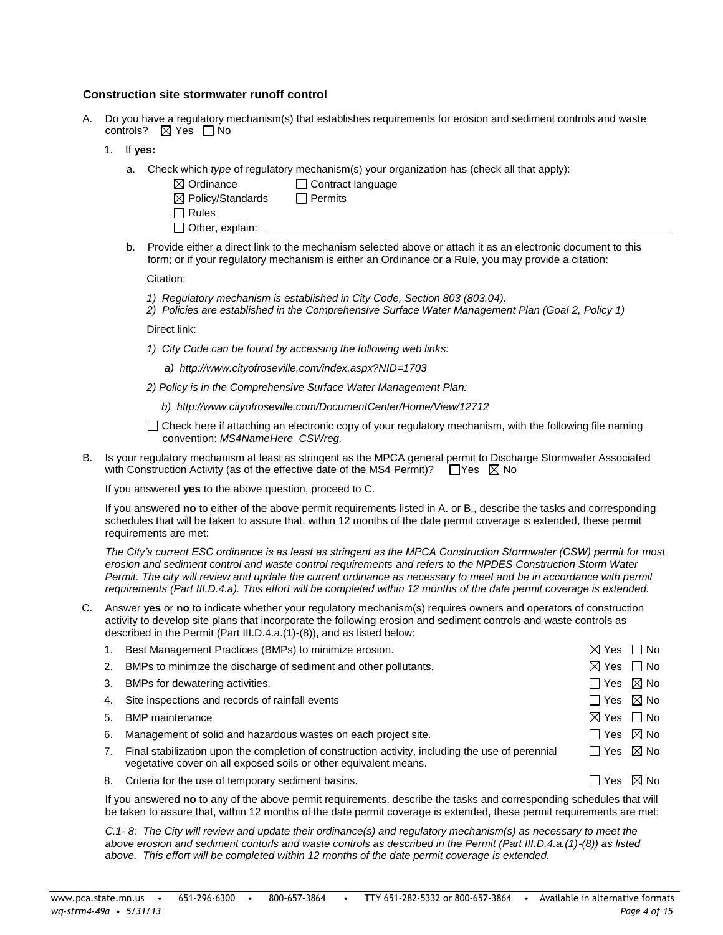#### **Construction site stormwater runoff control**

- A. Do you have a regulatory mechanism(s) that establishes requirements for erosion and sediment controls and waste controls?  $\boxtimes$  Yes  $\Box$  No
	- 1. If **yes:**
		- a. Check which *type* of regulatory mechanism(s) your organization has (check all that apply):
			- $\boxtimes$  Ordinance  $\Box$  Contract language  $\boxtimes$  Policy/Standards  $\Box$  Permits □ Rules  $\Box$  Other, explain:

b. Provide either a direct link to the mechanism selected above or attach it as an electronic document to this form; or if your regulatory mechanism is either an Ordinance or a Rule, you may provide a citation:

Citation:

- *1) Regulatory mechanism is established in City Code, Section 803 (803.04).*
- *2) Policies are established in the Comprehensive Surface Water Management Plan (Goal 2, Policy 1)*

Direct link:

- *1) City Code can be found by accessing the following web links:*
	- *a) http://www.cityofroseville.com/index.aspx?NID=1703*
- *2) Policy is in the Comprehensive Surface Water Management Plan:*
	- *b) http://www.cityofroseville.com/DocumentCenter/Home/View/12712*
- $\Box$  Check here if attaching an electronic copy of your regulatory mechanism, with the following file naming convention: *MS4NameHere\_CSWreg.*
- B. Is your regulatory mechanism at least as stringent as the MPCA general permit to Discharge Stormwater Associated with Construction Activity (as of the effective date of the MS4 Permit)?  $\Box$  Yes  $\boxtimes$  No

If you answered **yes** to the above question, proceed to C.

If you answered **no** to either of the above permit requirements listed in A. or B., describe the tasks and corresponding schedules that will be taken to assure that, within 12 months of the date permit coverage is extended, these permit requirements are met:

*The City's current ESC ordinance is as least as stringent as the MPCA Construction Stormwater (CSW) permit for most erosion and sediment control and waste control requirements and refers to the NPDES Construction Storm Water Permit. The city will review and update the current ordinance as necessary to meet and be in accordance with permit requirements (Part III.D.4.a). This effort will be completed within 12 months of the date permit coverage is extended.* 

C. Answer **yes** or **no** to indicate whether your regulatory mechanism(s) requires owners and operators of construction activity to develop site plans that incorporate the following erosion and sediment controls and waste controls as described in the Permit (Part III.D.4.a.(1)-(8)), and as listed below:

|    | Best Management Practices (BMPs) to minimize erosion.                                                                                                                | $\boxtimes$ Yes $\Box$ No |                |
|----|----------------------------------------------------------------------------------------------------------------------------------------------------------------------|---------------------------|----------------|
| 2. | BMPs to minimize the discharge of sediment and other pollutants.                                                                                                     | ⊠ Yes                     | $\Box$ No      |
| 3. | BMPs for dewatering activities.                                                                                                                                      | $\Box$ Yes $\boxtimes$ No |                |
|    | 4. Site inspections and records of rainfall events                                                                                                                   | $\Box$ Yes $\boxtimes$ No |                |
| 5. | <b>BMP</b> maintenance                                                                                                                                               | $\boxtimes$ Yes $\Box$ No |                |
| 6. | Management of solid and hazardous wastes on each project site.                                                                                                       | $\Box$ Yes $\boxtimes$ No |                |
|    | Final stabilization upon the completion of construction activity, including the use of perennial<br>vegetative cover on all exposed soils or other equivalent means. | $\Box$ Yes $\boxtimes$ No |                |
|    | 8. Criteria for the use of temporary sediment basins.                                                                                                                | ⊦ TYes                    | $\boxtimes$ No |
|    |                                                                                                                                                                      |                           |                |

If you answered **no** to any of the above permit requirements, describe the tasks and corresponding schedules that will be taken to assure that, within 12 months of the date permit coverage is extended, these permit requirements are met:

*C.1- 8: The City will review and update their ordinance(s) and regulatory mechanism(s) as necessary to meet the above erosion and sediment contorls and waste controls as described in the Permit (Part III.D.4.a.(1)-(8)) as listed above. This effort will be completed within 12 months of the date permit coverage is extended.*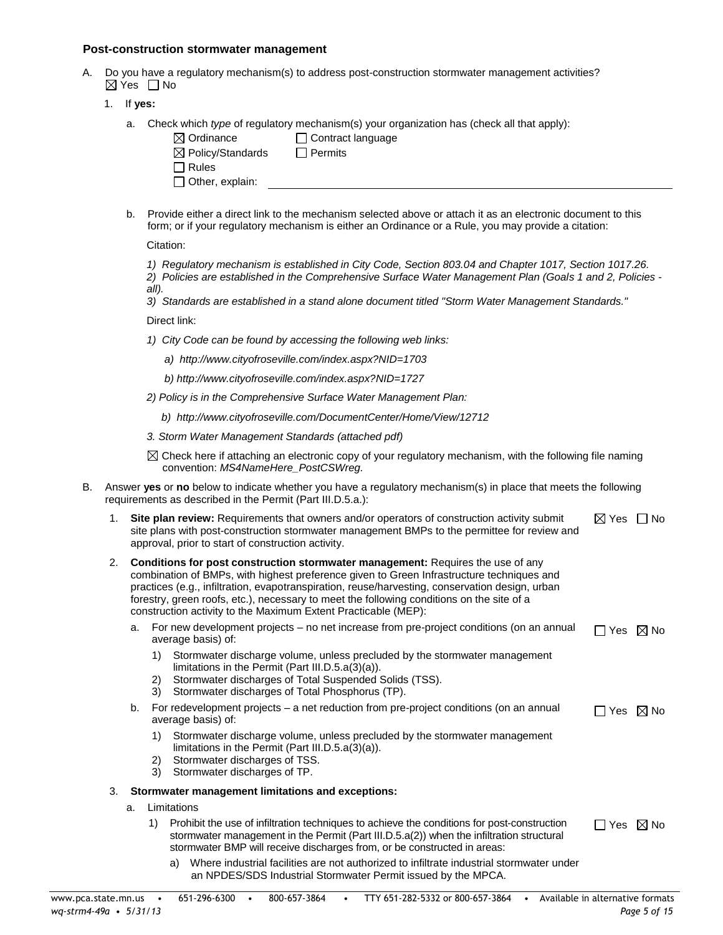#### **Post-construction stormwater management**

- A. Do you have a regulatory mechanism(s) to address post-construction stormwater management activities?  $\boxtimes$  Yes  $\Box$  No
	- 1. If **yes:**
		- a. Check which *type* of regulatory mechanism(s) your organization has (check all that apply):

| $\boxtimes$ Ordinance        | Contract language |  |  |
|------------------------------|-------------------|--|--|
| $\boxtimes$ Policy/Standards | $\sqcap$ Permits  |  |  |
|                              |                   |  |  |
| ∃ Rules                      |                   |  |  |
| $\Box$ Other, explain:       |                   |  |  |
|                              |                   |  |  |

b. Provide either a direct link to the mechanism selected above or attach it as an electronic document to this form; or if your regulatory mechanism is either an Ordinance or a Rule, you may provide a citation:

Citation:

*1) Regulatory mechanism is established in City Code, Section 803.04 and Chapter 1017, Section 1017.26.* 

*2) Policies are established in the Comprehensive Surface Water Management Plan (Goals 1 and 2, Policies all).* 

*3) Standards are established in a stand alone document titled "Storm Water Management Standards."* 

Direct link:

- *1) City Code can be found by accessing the following web links:*
	- *a) http://www.cityofroseville.com/index.aspx?NID=1703*
	- *b) http://www.cityofroseville.com/index.aspx?NID=1727*
- *2) Policy is in the Comprehensive Surface Water Management Plan:*
	- *b) http://www.cityofroseville.com/DocumentCenter/Home/View/12712*
- *3. Storm Water Management Standards (attached pdf)*
- $\boxtimes$  Check here if attaching an electronic copy of your regulatory mechanism, with the following file naming convention: *MS4NameHere\_PostCSWreg.*
- B. Answer **yes** or **no** below to indicate whether you have a regulatory mechanism(s) in place that meets the following requirements as described in the Permit (Part III.D.5.a.):

| <b>Site plan review:</b> Requirements that owners and/or operators of construction activity submit<br>site plans with post-construction stormwater management BMPs to the permittee for review and<br>approval, prior to start of construction activity. | ⊠ Yes □ No |  |
|----------------------------------------------------------------------------------------------------------------------------------------------------------------------------------------------------------------------------------------------------------|------------|--|
| <b>Conditions for post construction stormwater management:</b> Requires the use of any                                                                                                                                                                   |            |  |

| <b>UNIMEDIAL CONSULTATION SCRIPTION AND MONOGRAPHIC INCOMICS THE USE OF ALLY</b>                |
|-------------------------------------------------------------------------------------------------|
| combination of BMPs, with highest preference given to Green Infrastructure techniques and       |
| practices (e.g., infiltration, evapotranspiration, reuse/harvesting, conservation design, urban |
| forestry, green roofs, etc.), necessary to meet the following conditions on the site of a       |
| construction activity to the Maximum Extent Practicable (MEP):                                  |

| a. For new development projects - no net increase from pre-project conditions (on an annual | $\Box$ Yes $\,\boxtimes$ No |  |
|---------------------------------------------------------------------------------------------|-----------------------------|--|
| average basis) of:                                                                          |                             |  |

- 1) Stormwater discharge volume, unless precluded by the stormwater management limitations in the Permit (Part III.D.5.a(3)(a)).
- 2) Stormwater discharges of Total Suspended Solids (TSS).
- 3) Stormwater discharges of Total Phosphorus (TP).
- b. For redevelopment projects a net reduction from pre-project conditions (on an annual average basis) of:  $\Box$  Yes  $\boxtimes$  No
	- 1) Stormwater discharge volume, unless precluded by the stormwater management limitations in the Permit (Part III.D.5.a(3)(a)).
	- 2) Stormwater discharges of TSS.
	- 3) Stormwater discharges of TP.

## 3. **Stormwater management limitations and exceptions:**

- a. Limitations
	- 1) Prohibit the use of infiltration techniques to achieve the conditions for post-construction stormwater management in the Permit (Part III.D.5.a(2)) when the infiltration structural stormwater BMP will receive discharges from, or be constructed in areas:  $\Box$  Yes  $\boxtimes$  No
		- a) Where industrial facilities are not authorized to infiltrate industrial stormwater under an NPDES/SDS Industrial Stormwater Permit issued by the MPCA.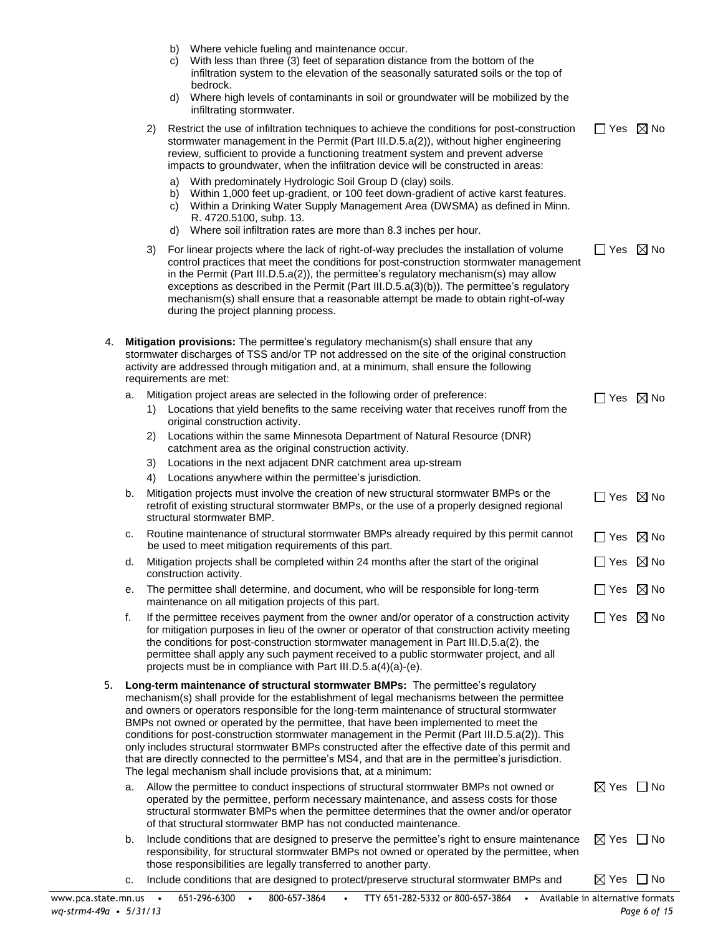|  |  |  | b) Where vehicle fueling and maintenance occur. |
|--|--|--|-------------------------------------------------|
|--|--|--|-------------------------------------------------|

- c) With less than three (3) feet of separation distance from the bottom of the infiltration system to the elevation of the seasonally saturated soils or the top of bedrock.
- d) Where high levels of contaminants in soil or groundwater will be mobilized by the infiltrating stormwater.

|    |    |    |                      | militrating stormwater.                                                                                                                                                                                                                                                                                                                                                                                                                                                                                                                                                                                                                                                                                                                           |                           |                    |
|----|----|----|----------------------|---------------------------------------------------------------------------------------------------------------------------------------------------------------------------------------------------------------------------------------------------------------------------------------------------------------------------------------------------------------------------------------------------------------------------------------------------------------------------------------------------------------------------------------------------------------------------------------------------------------------------------------------------------------------------------------------------------------------------------------------------|---------------------------|--------------------|
|    |    | 2) |                      | Restrict the use of infiltration techniques to achieve the conditions for post-construction<br>stormwater management in the Permit (Part III.D.5.a(2)), without higher engineering<br>review, sufficient to provide a functioning treatment system and prevent adverse<br>impacts to groundwater, when the infiltration device will be constructed in areas:                                                                                                                                                                                                                                                                                                                                                                                      | $\Box$ Yes $\boxtimes$ No |                    |
|    |    |    | a)<br>b)<br>C)<br>d) | With predominately Hydrologic Soil Group D (clay) soils.<br>Within 1,000 feet up-gradient, or 100 feet down-gradient of active karst features.<br>Within a Drinking Water Supply Management Area (DWSMA) as defined in Minn.<br>R. 4720.5100, subp. 13.<br>Where soil infiltration rates are more than 8.3 inches per hour.                                                                                                                                                                                                                                                                                                                                                                                                                       |                           |                    |
|    |    | 3) |                      | For linear projects where the lack of right-of-way precludes the installation of volume<br>control practices that meet the conditions for post-construction stormwater management<br>in the Permit (Part III.D.5.a(2)), the permittee's regulatory mechanism(s) may allow<br>exceptions as described in the Permit (Part III.D.5.a(3)(b)). The permittee's regulatory<br>mechanism(s) shall ensure that a reasonable attempt be made to obtain right-of-way<br>during the project planning process.                                                                                                                                                                                                                                               | $\Box$ Yes $\boxtimes$ No |                    |
| 4. |    |    |                      | Mitigation provisions: The permittee's regulatory mechanism(s) shall ensure that any<br>stormwater discharges of TSS and/or TP not addressed on the site of the original construction<br>activity are addressed through mitigation and, at a minimum, shall ensure the following<br>requirements are met:                                                                                                                                                                                                                                                                                                                                                                                                                                         |                           |                    |
|    | a. | 1) |                      | Mitigation project areas are selected in the following order of preference:<br>Locations that yield benefits to the same receiving water that receives runoff from the<br>original construction activity.                                                                                                                                                                                                                                                                                                                                                                                                                                                                                                                                         | $\Box$ Yes $\boxtimes$ No |                    |
|    |    | 2) |                      | Locations within the same Minnesota Department of Natural Resource (DNR)<br>catchment area as the original construction activity.                                                                                                                                                                                                                                                                                                                                                                                                                                                                                                                                                                                                                 |                           |                    |
|    |    | 3) |                      | Locations in the next adjacent DNR catchment area up-stream                                                                                                                                                                                                                                                                                                                                                                                                                                                                                                                                                                                                                                                                                       |                           |                    |
|    |    | 4) |                      | Locations anywhere within the permittee's jurisdiction.                                                                                                                                                                                                                                                                                                                                                                                                                                                                                                                                                                                                                                                                                           |                           |                    |
|    | b. |    |                      | Mitigation projects must involve the creation of new structural stormwater BMPs or the<br>retrofit of existing structural stormwater BMPs, or the use of a properly designed regional<br>structural stormwater BMP.                                                                                                                                                                                                                                                                                                                                                                                                                                                                                                                               | $\Box$ Yes $\boxtimes$ No |                    |
|    | с. |    |                      | Routine maintenance of structural stormwater BMPs already required by this permit cannot<br>be used to meet mitigation requirements of this part.                                                                                                                                                                                                                                                                                                                                                                                                                                                                                                                                                                                                 | $\Box$ Yes $\boxtimes$ No |                    |
|    | d. |    |                      | Mitigation projects shall be completed within 24 months after the start of the original<br>construction activity.                                                                                                                                                                                                                                                                                                                                                                                                                                                                                                                                                                                                                                 | $\mathsf{L}$              | Yes $\boxtimes$ No |
|    | е. |    |                      | The permittee shall determine, and document, who will be responsible for long-term<br>maintenance on all mitigation projects of this part.                                                                                                                                                                                                                                                                                                                                                                                                                                                                                                                                                                                                        | $\Box$ Yes $\boxtimes$ No |                    |
|    | f. |    |                      | If the permittee receives payment from the owner and/or operator of a construction activity<br>for mitigation purposes in lieu of the owner or operator of that construction activity meeting<br>the conditions for post-construction stormwater management in Part III.D.5.a(2), the<br>permittee shall apply any such payment received to a public stormwater project, and all<br>projects must be in compliance with Part III.D.5.a(4)(a)-(e).                                                                                                                                                                                                                                                                                                 | $\Box$ Yes $\boxtimes$ No |                    |
| 5. |    |    |                      | Long-term maintenance of structural stormwater BMPs: The permittee's regulatory<br>mechanism(s) shall provide for the establishment of legal mechanisms between the permittee<br>and owners or operators responsible for the long-term maintenance of structural stormwater<br>BMPs not owned or operated by the permittee, that have been implemented to meet the<br>conditions for post-construction stormwater management in the Permit (Part III.D.5.a(2)). This<br>only includes structural stormwater BMPs constructed after the effective date of this permit and<br>that are directly connected to the permittee's MS4, and that are in the permittee's jurisdiction.<br>The legal mechanism shall include provisions that, at a minimum: |                           |                    |
|    | a. |    |                      | Allow the permittee to conduct inspections of structural stormwater BMPs not owned or<br>operated by the permittee, perform necessary maintenance, and assess costs for those<br>structural stormwater BMPs when the permittee determines that the owner and/or operator<br>of that structural stormwater BMP has not conducted maintenance.                                                                                                                                                                                                                                                                                                                                                                                                      | $\boxtimes$ Yes $\Box$ No |                    |
|    | b. |    |                      | Include conditions that are designed to preserve the permittee's right to ensure maintenance                                                                                                                                                                                                                                                                                                                                                                                                                                                                                                                                                                                                                                                      | $\boxtimes$ Yes           | l No               |

- responsibility, for structural stormwater BMPs not owned or operated by the permittee, when those responsibilities are legally transferred to another party.
- c. Include conditions that are designed to protect/preserve structural stormwater BMPs and  $\boxtimes$  Yes  $\Box$  No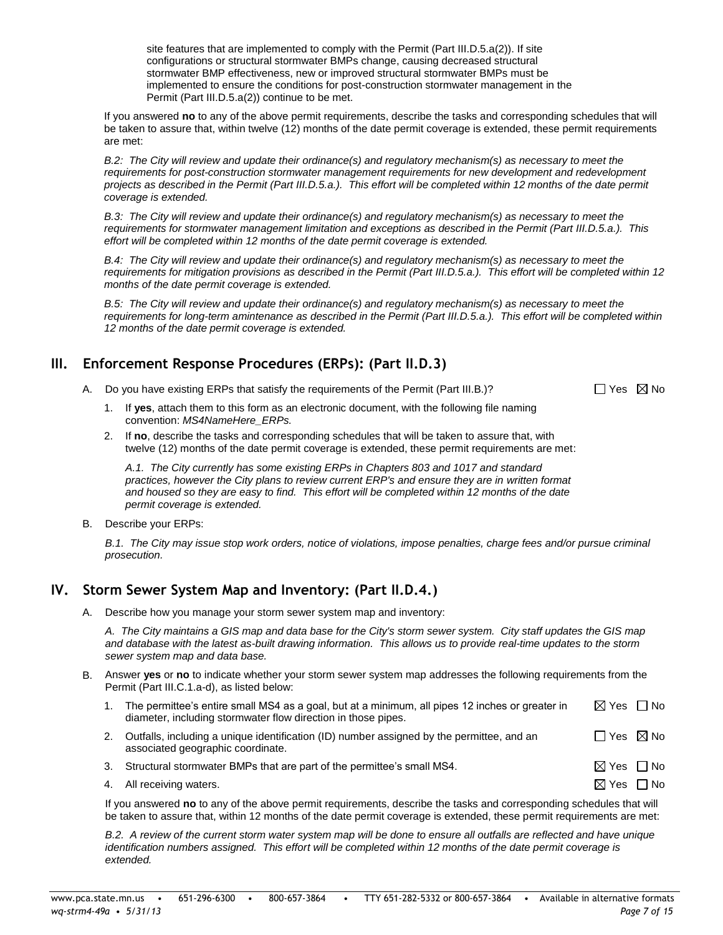site features that are implemented to comply with the Permit (Part III.D.5.a(2)). If site configurations or structural stormwater BMPs change, causing decreased structural stormwater BMP effectiveness, new or improved structural stormwater BMPs must be implemented to ensure the conditions for post-construction stormwater management in the Permit (Part III.D.5.a(2)) continue to be met.

If you answered **no** to any of the above permit requirements, describe the tasks and corresponding schedules that will be taken to assure that, within twelve (12) months of the date permit coverage is extended, these permit requirements are met:

*B.2: The City will review and update their ordinance(s) and regulatory mechanism(s) as necessary to meet the requirements for post-construction stormwater management requirements for new development and redevelopment projects as described in the Permit (Part III.D.5.a.). This effort will be completed within 12 months of the date permit coverage is extended.*

*B.3: The City will review and update their ordinance(s) and regulatory mechanism(s) as necessary to meet the requirements for stormwater management limitation and exceptions as described in the Permit (Part III.D.5.a.). This effort will be completed within 12 months of the date permit coverage is extended.*

*B.4: The City will review and update their ordinance(s) and regulatory mechanism(s) as necessary to meet the requirements for mitigation provisions as described in the Permit (Part III.D.5.a.). This effort will be completed within 12 months of the date permit coverage is extended.*

*B.5: The City will review and update their ordinance(s) and regulatory mechanism(s) as necessary to meet the requirements for long-term amintenance as described in the Permit (Part III.D.5.a.). This effort will be completed within 12 months of the date permit coverage is extended.* 

## **III. Enforcement Response Procedures (ERPs): (Part II.D.3)**

A. Do you have existing ERPs that satisfy the requirements of the Permit (Part III.B.)?  $\square$  Yes  $\boxtimes$  No

- 1. If **yes**, attach them to this form as an electronic document, with the following file naming convention: *MS4NameHere\_ERPs.*
- 2. If **no**, describe the tasks and corresponding schedules that will be taken to assure that, with twelve (12) months of the date permit coverage is extended, these permit requirements are met:

*A.1. The City currently has some existing ERPs in Chapters 803 and 1017 and standard practices, however the City plans to review current ERP's and ensure they are in written format and housed so they are easy to find. This effort will be completed within 12 months of the date permit coverage is extended.*

B. Describe your ERPs:

*B.1. The City may issue stop work orders, notice of violations, impose penalties, charge fees and/or pursue criminal prosecution.*

## **IV. Storm Sewer System Map and Inventory: (Part II.D.4.)**

A. Describe how you manage your storm sewer system map and inventory:

*A. The City maintains a GIS map and data base for the City's storm sewer system. City staff updates the GIS map and database with the latest as-built drawing information. This allows us to provide real-time updates to the storm sewer system map and data base.*

- B. Answer **yes** or **no** to indicate whether your storm sewer system map addresses the following requirements from the Permit (Part III.C.1.a-d), as listed below:
	- 1. The permittee's entire small MS4 as a goal, but at a minimum, all pipes 12 inches or greater in diameter, including stormwater flow direction in those pipes.  $\boxtimes$  Yes  $\Box$  No
	- 2. Outfalls, including a unique identification (ID) number assigned by the permittee, and an associated geographic coordinate.  $\Box$  Yes  $\boxtimes$  No
	- 3. Structural stormwater BMPs that are part of the permittee's small MS4.  $\boxtimes$  Yes  $\Box$  No
	- 4. All receiving waters.  $\Box$  No  $\Box$  No  $\Box$  No  $\Box$  No  $\Box$  No  $\Box$  No  $\Box$  No  $\Box$  No  $\Box$  No  $\Box$  No  $\Box$  No  $\Box$  No  $\Box$  No  $\Box$  No  $\Box$  No  $\Box$  No  $\Box$  No  $\Box$  No  $\Box$  No  $\Box$  No  $\Box$  No  $\Box$  No  $\Box$  No  $\Box$  No  $\Box$

If you answered **no** to any of the above permit requirements, describe the tasks and corresponding schedules that will be taken to assure that, within 12 months of the date permit coverage is extended, these permit requirements are met:

*B.2. A review of the current storm water system map will be done to ensure all outfalls are reflected and have unique identification numbers assigned. This effort will be completed within 12 months of the date permit coverage is extended.*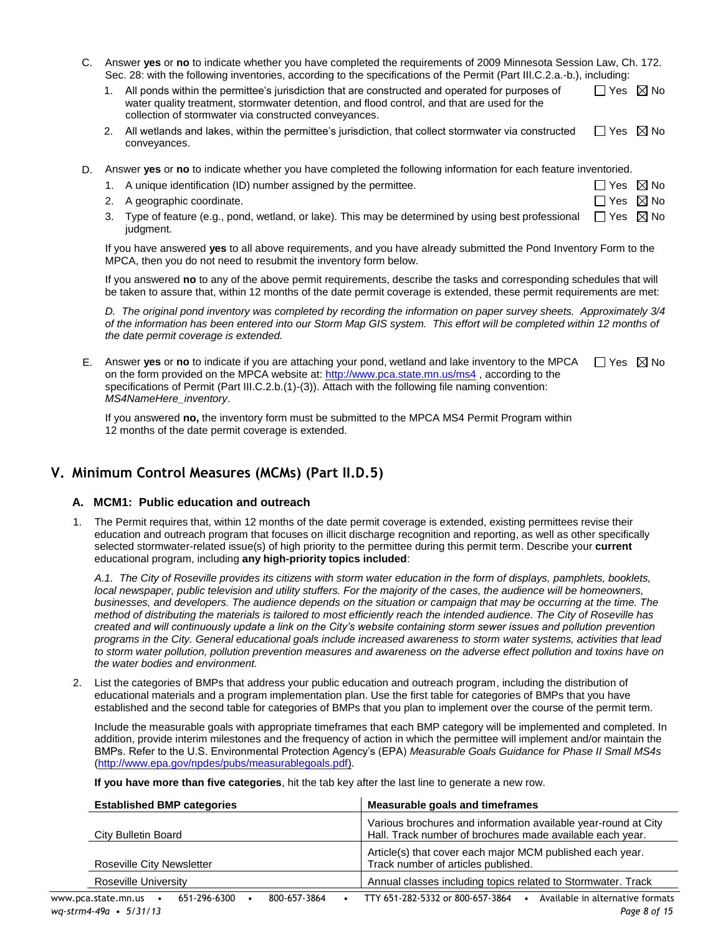C. Answer **yes** or **no** to indicate whether you have completed the requirements of 2009 Minnesota Session Law, Ch. 172. Sec. 28: with the following inventories, according to the specifications of the Permit (Part III.C.2.a.-b.), including:

| 1. All ponds within the permittee's jurisdiction that are constructed and operated for purposes of | $\Box$ Yes $\boxtimes$ No |  |
|----------------------------------------------------------------------------------------------------|---------------------------|--|
| water quality treatment, stormwater detention, and flood control, and that are used for the        |                           |  |
| collection of stormwater via constructed conveyances.                                              |                           |  |

- 2. All wetlands and lakes, within the permittee's jurisdiction, that collect stormwater via constructed conveyances.  $\Box$  Yes  $\boxtimes$  No
- D. Answer **yes** or **no** to indicate whether you have completed the following information for each feature inventoried.

|  |  |  | 1. A unique identification (ID) number assigned by the permittee. |  | $\Box$ Yes $\boxtimes$ No |  |
|--|--|--|-------------------------------------------------------------------|--|---------------------------|--|
|--|--|--|-------------------------------------------------------------------|--|---------------------------|--|

- 2. A geographic coordinate.
- 3. Type of feature (e.g., pond, wetland, or lake). This may be determined by using best professional judgment.  $\Box$  Yes  $\boxtimes$  No

If you have answered **yes** to all above requirements, and you have already submitted the Pond Inventory Form to the MPCA, then you do not need to resubmit the inventory form below.

If you answered **no** to any of the above permit requirements, describe the tasks and corresponding schedules that will be taken to assure that, within 12 months of the date permit coverage is extended, these permit requirements are met:

*D. The original pond inventory was completed by recording the information on paper survey sheets. Approximately 3/4 of the information has been entered into our Storm Map GIS system. This effort will be completed within 12 months of the date permit coverage is extended.*

E. Answer yes or no to indicate if you are attaching your pond, wetland and lake inventory to the MPCA  $\Box$  Yes  $\boxtimes$  No on the form provided on the MPCA website at[: http://www.pca.state.mn.us/ms4](http://www.pca.state.mn.us/ms4) , according to the specifications of Permit (Part III.C.2.b.(1)-(3)). Attach with the following file naming convention: *MS4NameHere\_inventory*.

If you answered **no,** the inventory form must be submitted to the MPCA MS4 Permit Program within 12 months of the date permit coverage is extended.

## **V. Minimum Control Measures (MCMs) (Part II.D.5)**

## **A. MCM1: Public education and outreach**

1. The Permit requires that, within 12 months of the date permit coverage is extended, existing permittees revise their education and outreach program that focuses on illicit discharge recognition and reporting, as well as other specifically selected stormwater-related issue(s) of high priority to the permittee during this permit term. Describe your **current** educational program, including **any high-priority topics included**:

*A.1. The City of Roseville provides its citizens with storm water education in the form of displays, pamphlets, booklets, local newspaper, public television and utility stuffers. For the majority of the cases, the audience will be homeowners, businesses, and developers. The audience depends on the situation or campaign that may be occurring at the time. The method of distributing the materials is tailored to most efficiently reach the intended audience. The City of Roseville has created and will continuously update a link on the City's website containing storm sewer issues and pollution prevention programs in the City. General educational goals include increased awareness to storm water systems, activities that lead to storm water pollution, pollution prevention measures and awareness on the adverse effect pollution and toxins have on the water bodies and environment.*

2. List the categories of BMPs that address your public education and outreach program, including the distribution of educational materials and a program implementation plan. Use the first table for categories of BMPs that you have established and the second table for categories of BMPs that you plan to implement over the course of the permit term.

Include the measurable goals with appropriate timeframes that each BMP category will be implemented and completed. In addition, provide interim milestones and the frequency of action in which the permittee will implement and/or maintain the BMPs. Refer to the U.S. Environmental Protection Agency's (EPA) *Measurable Goals Guidance for Phase II Small MS4s* [\(http://www.epa.gov/npdes/pubs/measurablegoals.pdf\)](http://www.epa.gov/npdes/pubs/measurablegoals.pdf).

**If you have more than five categories**, hit the tab key after the last line to generate a new row.

|                           |  | <b>Established BMP categories</b> |  |                                                                                                                             | Measurable goals and timeframes                                                                  |  |  |  |
|---------------------------|--|-----------------------------------|--|-----------------------------------------------------------------------------------------------------------------------------|--------------------------------------------------------------------------------------------------|--|--|--|
| City Bulletin Board       |  |                                   |  | Various brochures and information available year-round at City<br>Hall. Track number of brochures made available each year. |                                                                                                  |  |  |  |
| Roseville City Newsletter |  |                                   |  |                                                                                                                             | Article(s) that cover each major MCM published each year.<br>Track number of articles published. |  |  |  |
| Roseville University      |  |                                   |  |                                                                                                                             | Annual classes including topics related to Stormwater. Track                                     |  |  |  |
| www.pca.state.mn.us       |  | 651-296-6300                      |  | 800-657-3864                                                                                                                | Available in alternative formats<br>TTY 651-282-5332 or 800-657-3864                             |  |  |  |

 $\Box$  Yes  $\boxtimes$  No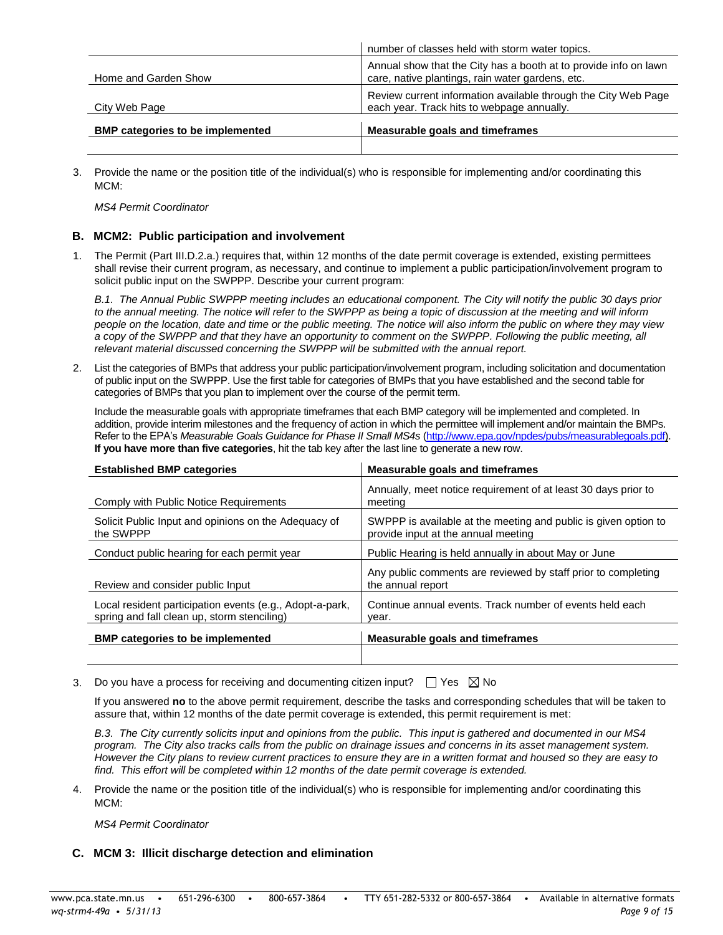| <b>BMP categories to be implemented</b> | <b>Measurable goals and timeframes</b>                                                                               |
|-----------------------------------------|----------------------------------------------------------------------------------------------------------------------|
| City Web Page                           | Review current information available through the City Web Page<br>each year. Track hits to webpage annually.         |
| Home and Garden Show                    | Annual show that the City has a booth at to provide info on lawn<br>care, native plantings, rain water gardens, etc. |
|                                         | number of classes held with storm water topics.                                                                      |

3. Provide the name or the position title of the individual(s) who is responsible for implementing and/or coordinating this MCM:

*MS4 Permit Coordinator*

#### **B. MCM2: Public participation and involvement**

1. The Permit (Part III.D.2.a.) requires that, within 12 months of the date permit coverage is extended, existing permittees shall revise their current program, as necessary, and continue to implement a public participation/involvement program to solicit public input on the SWPPP. Describe your current program:

*B.1. The Annual Public SWPPP meeting includes an educational component. The City will notify the public 30 days prior to the annual meeting. The notice will refer to the SWPPP as being a topic of discussion at the meeting and will inform people on the location, date and time or the public meeting. The notice will also inform the public on where they may view a copy of the SWPPP and that they have an opportunity to comment on the SWPPP. Following the public meeting, all relevant material discussed concerning the SWPPP will be submitted with the annual report.*

2. List the categories of BMPs that address your public participation/involvement program, including solicitation and documentation of public input on the SWPPP. Use the first table for categories of BMPs that you have established and the second table for categories of BMPs that you plan to implement over the course of the permit term.

Include the measurable goals with appropriate timeframes that each BMP category will be implemented and completed. In addition, provide interim milestones and the frequency of action in which the permittee will implement and/or maintain the BMPs. Refer to the EPA's *Measurable Goals Guidance for Phase II Small MS4s* [\(http://www.epa.gov/npdes/pubs/measurablegoals.pdf\)](http://www.epa.gov/npdes/pubs/measurablegoals.pdf). **If you have more than five categories**, hit the tab key after the last line to generate a new row.

| <b>Established BMP categories</b>                                                                       | Measurable goals and timeframes                                                                        |
|---------------------------------------------------------------------------------------------------------|--------------------------------------------------------------------------------------------------------|
| Comply with Public Notice Requirements                                                                  | Annually, meet notice requirement of at least 30 days prior to<br>meeting                              |
| Solicit Public Input and opinions on the Adequacy of<br>the SWPPP                                       | SWPPP is available at the meeting and public is given option to<br>provide input at the annual meeting |
| Conduct public hearing for each permit year                                                             | Public Hearing is held annually in about May or June                                                   |
| Review and consider public Input                                                                        | Any public comments are reviewed by staff prior to completing<br>the annual report                     |
| Local resident participation events (e.g., Adopt-a-park,<br>spring and fall clean up, storm stenciling) | Continue annual events. Track number of events held each<br>vear.                                      |
| <b>BMP</b> categories to be implemented                                                                 | <b>Measurable goals and timeframes</b>                                                                 |
|                                                                                                         |                                                                                                        |

3. Do you have a process for receiving and documenting citizen input?  $\Box$  Yes  $\boxtimes$  No

If you answered **no** to the above permit requirement, describe the tasks and corresponding schedules that will be taken to assure that, within 12 months of the date permit coverage is extended, this permit requirement is met:

*B.3. The City currently solicits input and opinions from the public. This input is gathered and documented in our MS4 program. The City also tracks calls from the public on drainage issues and concerns in its asset management system. However the City plans to review current practices to ensure they are in a written format and housed so they are easy to find. This effort will be completed within 12 months of the date permit coverage is extended.*

4. Provide the name or the position title of the individual(s) who is responsible for implementing and/or coordinating this MCM:

*MS4 Permit Coordinator*

## **C. MCM 3: Illicit discharge detection and elimination**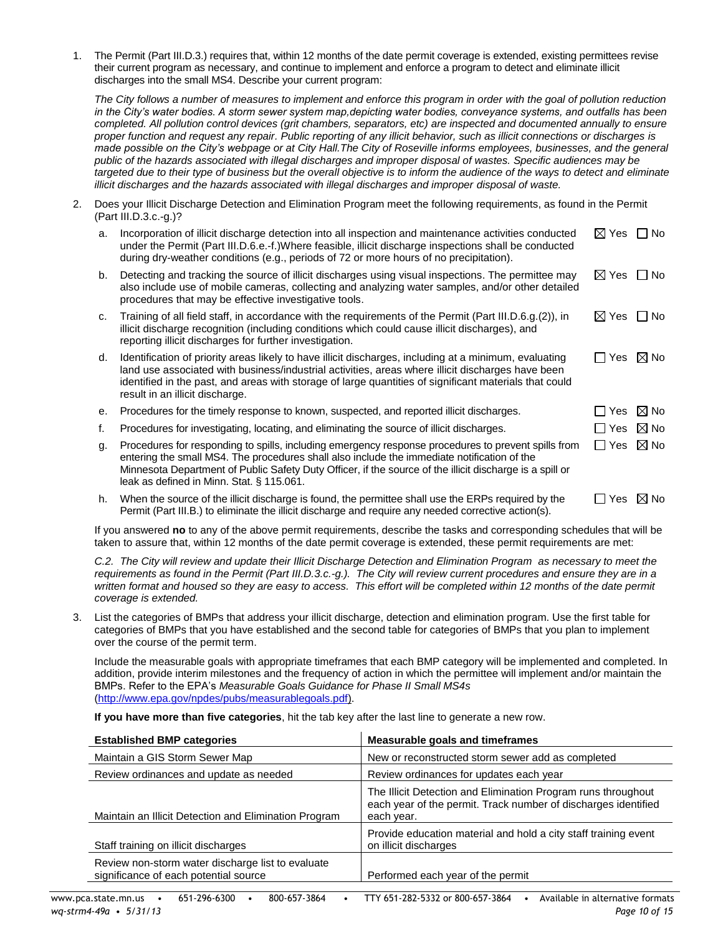1. The Permit (Part III.D.3.) requires that, within 12 months of the date permit coverage is extended, existing permittees revise their current program as necessary, and continue to implement and enforce a program to detect and eliminate illicit discharges into the small MS4. Describe your current program:

*The City follows a number of measures to implement and enforce this program in order with the goal of pollution reduction in the City's water bodies. A storm sewer system map,depicting water bodies, conveyance systems, and outfalls has been completed. All pollution control devices (grit chambers, separators, etc) are inspected and documented annually to ensure proper function and request any repair. Public reporting of any illicit behavior, such as illicit connections or discharges is made possible on the City's webpage or at City Hall.The City of Roseville informs employees, businesses, and the general public of the hazards associated with illegal discharges and improper disposal of wastes. Specific audiences may be targeted due to their type of business but the overall objective is to inform the audience of the ways to detect and eliminate illicit discharges and the hazards associated with illegal discharges and improper disposal of waste.*

2. Does your Illicit Discharge Detection and Elimination Program meet the following requirements, as found in the Permit (Part III.D.3.c.-g.)?

| a. | Incorporation of illicit discharge detection into all inspection and maintenance activities conducted<br>under the Permit (Part III.D.6.e.-f.)Where feasible, illicit discharge inspections shall be conducted<br>during dry-weather conditions (e.g., periods of 72 or more hours of no precipitation).                                                    | $\boxtimes$ Yes $\Box$ No |                    |
|----|-------------------------------------------------------------------------------------------------------------------------------------------------------------------------------------------------------------------------------------------------------------------------------------------------------------------------------------------------------------|---------------------------|--------------------|
| b. | Detecting and tracking the source of illicit discharges using visual inspections. The permittee may<br>also include use of mobile cameras, collecting and analyzing water samples, and/or other detailed<br>procedures that may be effective investigative tools.                                                                                           | $\boxtimes$ Yes $\Box$ No |                    |
| C. | Training of all field staff, in accordance with the requirements of the Permit (Part III.D.6.g.(2)), in<br>illicit discharge recognition (including conditions which could cause illicit discharges), and<br>reporting illicit discharges for further investigation.                                                                                        | $\boxtimes$ Yes $\Box$ No |                    |
| d. | Identification of priority areas likely to have illicit discharges, including at a minimum, evaluating<br>land use associated with business/industrial activities, areas where illicit discharges have been<br>identified in the past, and areas with storage of large quantities of significant materials that could<br>result in an illicit discharge.    | $\Box$ Yes $\boxtimes$ No |                    |
| е. | Procedures for the timely response to known, suspected, and reported illicit discharges.                                                                                                                                                                                                                                                                    | Yes                       | $\boxtimes$ No     |
| f. | Procedures for investigating, locating, and eliminating the source of illicit discharges.                                                                                                                                                                                                                                                                   | Yes                       | $\boxtimes$ No     |
| g. | Procedures for responding to spills, including emergency response procedures to prevent spills from<br>entering the small MS4. The procedures shall also include the immediate notification of the<br>Minnesota Department of Public Safety Duty Officer, if the source of the illicit discharge is a spill or<br>leak as defined in Minn. Stat. § 115.061. | $\perp$                   | Yes $\boxtimes$ No |
| h. | When the source of the illicit discharge is found, the permittee shall use the ERPs required by the<br>Permit (Part III.B.) to eliminate the illicit discharge and require any needed corrective action(s).                                                                                                                                                 | Yes                       | $\boxtimes$ No     |

If you answered **no** to any of the above permit requirements, describe the tasks and corresponding schedules that will be taken to assure that, within 12 months of the date permit coverage is extended, these permit requirements are met:

*C.2. The City will review and update their Illicit Discharge Detection and Elimination Program as necessary to meet the requirements as found in the Permit (Part III.D.3.c.-g.). The City will review current procedures and ensure they are in a*  written format and housed so they are easy to access. This effort will be completed within 12 months of the date permit *coverage is extended.* 

3. List the categories of BMPs that address your illicit discharge, detection and elimination program. Use the first table for categories of BMPs that you have established and the second table for categories of BMPs that you plan to implement over the course of the permit term.

Include the measurable goals with appropriate timeframes that each BMP category will be implemented and completed. In addition, provide interim milestones and the frequency of action in which the permittee will implement and/or maintain the BMPs. Refer to the EPA's *Measurable Goals Guidance for Phase II Small MS4s* [\(http://www.epa.gov/npdes/pubs/measurablegoals.pdf\)](http://www.epa.gov/npdes/pubs/measurablegoals.pdf).

**If you have more than five categories**, hit the tab key after the last line to generate a new row.

| <b>Established BMP categories</b>                                                          | Measurable goals and timeframes                                                                                                               |
|--------------------------------------------------------------------------------------------|-----------------------------------------------------------------------------------------------------------------------------------------------|
| Maintain a GIS Storm Sewer Map                                                             | New or reconstructed storm sewer add as completed                                                                                             |
| Review ordinances and update as needed                                                     | Review ordinances for updates each year                                                                                                       |
| Maintain an Illicit Detection and Elimination Program                                      | The Illicit Detection and Elimination Program runs throughout<br>each year of the permit. Track number of discharges identified<br>each year. |
| Staff training on illicit discharges                                                       | Provide education material and hold a city staff training event<br>on illicit discharges                                                      |
| Review non-storm water discharge list to evaluate<br>significance of each potential source | Performed each year of the permit                                                                                                             |
|                                                                                            |                                                                                                                                               |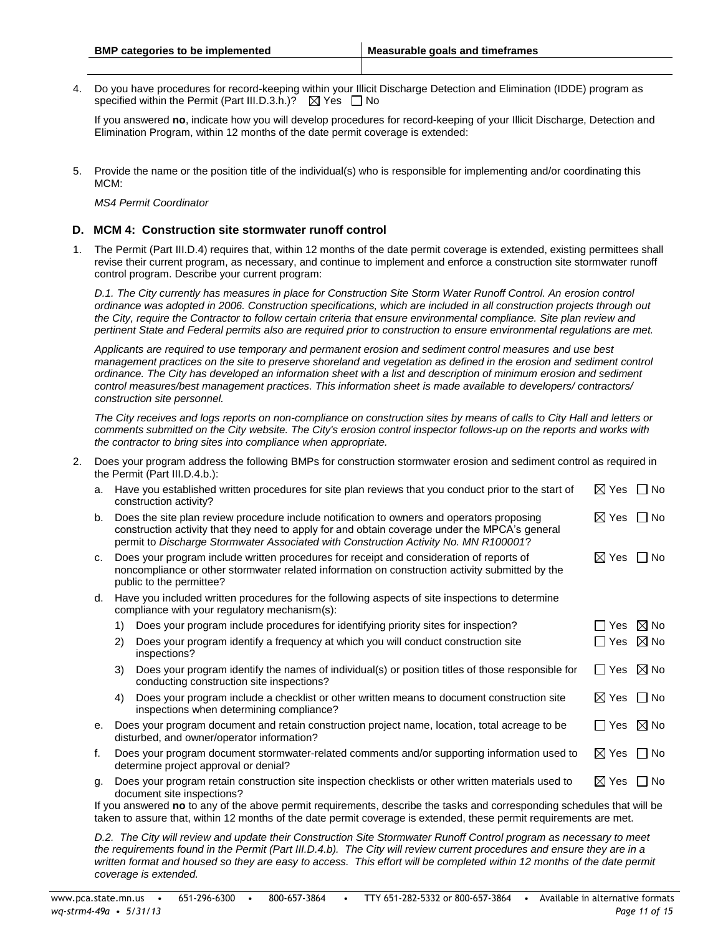4. Do you have procedures for record-keeping within your Illicit Discharge Detection and Elimination (IDDE) program as specified within the Permit (Part III.D.3.h.)?  $\boxtimes$  Yes  $\Box$  No

If you answered **no**, indicate how you will develop procedures for record-keeping of your Illicit Discharge, Detection and Elimination Program, within 12 months of the date permit coverage is extended:

5. Provide the name or the position title of the individual(s) who is responsible for implementing and/or coordinating this MCM:

*MS4 Permit Coordinator*

#### **D. MCM 4: Construction site stormwater runoff control**

1. The Permit (Part III.D.4) requires that, within 12 months of the date permit coverage is extended, existing permittees shall revise their current program, as necessary, and continue to implement and enforce a construction site stormwater runoff control program. Describe your current program:

*D.1. The City currently has measures in place for Construction Site Storm Water Runoff Control. An erosion control ordinance was adopted in 2006. Construction specifications, which are included in all construction projects through out the City, require the Contractor to follow certain criteria that ensure environmental compliance. Site plan review and pertinent State and Federal permits also are required prior to construction to ensure environmental regulations are met.*

*Applicants are required to use temporary and permanent erosion and sediment control measures and use best management practices on the site to preserve shoreland and vegetation as defined in the erosion and sediment control ordinance. The City has developed an information sheet with a list and description of minimum erosion and sediment control measures/best management practices. This information sheet is made available to developers/ contractors/ construction site personnel.*

*The City receives and logs reports on non-compliance on construction sites by means of calls to City Hall and letters or comments submitted on the City website. The City's erosion control inspector follows-up on the reports and works with the contractor to bring sites into compliance when appropriate.*

2. Does your program address the following BMPs for construction stormwater erosion and sediment control as required in the Permit (Part III.D.4.b.):

| a.                                                                                                                 | Have you established written procedures for site plan reviews that you conduct prior to the start of<br>construction activity?                                                                                                                                                       |                                                                                                                                                  |                           |                |  |  |  |
|--------------------------------------------------------------------------------------------------------------------|--------------------------------------------------------------------------------------------------------------------------------------------------------------------------------------------------------------------------------------------------------------------------------------|--------------------------------------------------------------------------------------------------------------------------------------------------|---------------------------|----------------|--|--|--|
| b.                                                                                                                 | Does the site plan review procedure include notification to owners and operators proposing<br>construction activity that they need to apply for and obtain coverage under the MPCA's general<br>permit to Discharge Stormwater Associated with Construction Activity No. MN R100001? |                                                                                                                                                  |                           |                |  |  |  |
| C.                                                                                                                 | Does your program include written procedures for receipt and consideration of reports of<br>noncompliance or other stormwater related information on construction activity submitted by the<br>public to the permittee?                                                              |                                                                                                                                                  |                           |                |  |  |  |
| d.                                                                                                                 |                                                                                                                                                                                                                                                                                      | Have you included written procedures for the following aspects of site inspections to determine<br>compliance with your regulatory mechanism(s): |                           |                |  |  |  |
|                                                                                                                    | 1)                                                                                                                                                                                                                                                                                   | Does your program include procedures for identifying priority sites for inspection?                                                              | ∐ Yes                     | $\boxtimes$ No |  |  |  |
|                                                                                                                    | 2)                                                                                                                                                                                                                                                                                   | Does your program identify a frequency at which you will conduct construction site<br>inspections?                                               | ∐ Yes                     | $\boxtimes$ No |  |  |  |
|                                                                                                                    | 3)                                                                                                                                                                                                                                                                                   | Does your program identify the names of individual(s) or position titles of those responsible for<br>conducting construction site inspections?   | $\Box$ Yes                | $\boxtimes$ No |  |  |  |
|                                                                                                                    | 4)                                                                                                                                                                                                                                                                                   | Does your program include a checklist or other written means to document construction site<br>inspections when determining compliance?           | $\boxtimes$ Yes $\Box$ No |                |  |  |  |
| е.                                                                                                                 |                                                                                                                                                                                                                                                                                      | Does your program document and retain construction project name, location, total acreage to be<br>disturbed, and owner/operator information?     | $\Box$ Yes $\boxtimes$ No |                |  |  |  |
| f.                                                                                                                 |                                                                                                                                                                                                                                                                                      | Does your program document stormwater-related comments and/or supporting information used to<br>determine project approval or denial?            | $\boxtimes$ Yes $\Box$ No |                |  |  |  |
| g.                                                                                                                 | $\boxtimes$ Yes $\Box$ No<br>Does your program retain construction site inspection checklists or other written materials used to<br>document site inspections?                                                                                                                       |                                                                                                                                                  |                           |                |  |  |  |
|                                                                                                                    |                                                                                                                                                                                                                                                                                      | If you answered no to any of the above permit requirements, describe the tasks and corresponding schedules that will be                          |                           |                |  |  |  |
| taken to assure that, within 12 months of the date permit coverage is extended, these permit requirements are met. |                                                                                                                                                                                                                                                                                      |                                                                                                                                                  |                           |                |  |  |  |

*D.2. The City will review and update their Construction Site Stormwater Runoff Control program as necessary to meet the requirements found in the Permit (Part III.D.4.b). The City will review current procedures and ensure they are in a*  written format and housed so they are easy to access. This effort will be completed within 12 months of the date permit *coverage is extended.*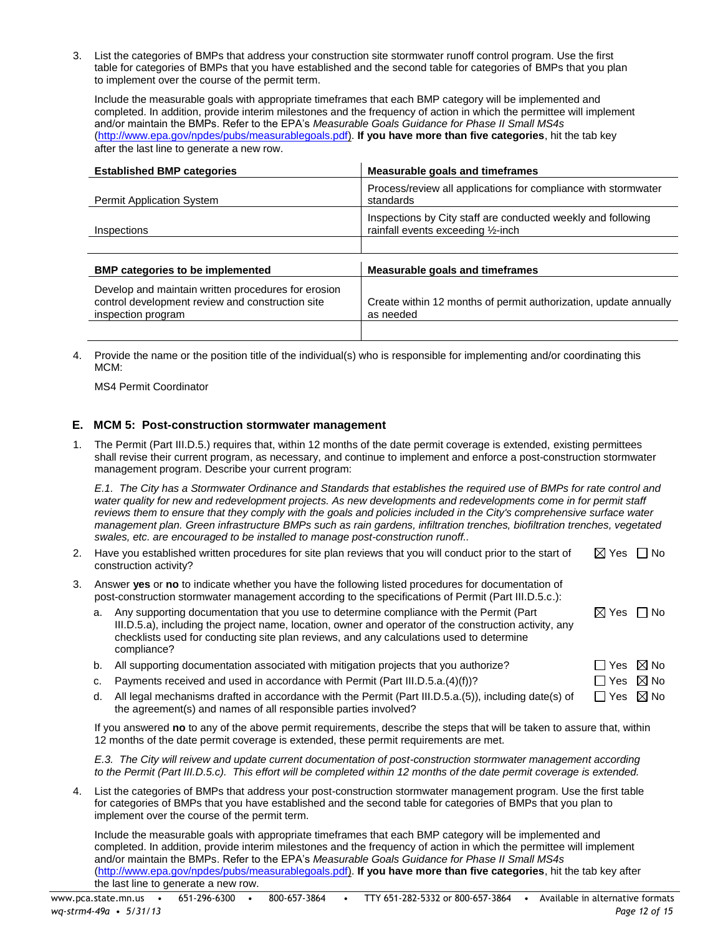3. List the categories of BMPs that address your construction site stormwater runoff control program. Use the first table for categories of BMPs that you have established and the second table for categories of BMPs that you plan to implement over the course of the permit term.

Include the measurable goals with appropriate timeframes that each BMP category will be implemented and completed. In addition, provide interim milestones and the frequency of action in which the permittee will implement and/or maintain the BMPs. Refer to the EPA's *Measurable Goals Guidance for Phase II Small MS4s* [\(http://www.epa.gov/npdes/pubs/measurablegoals.pdf\)](http://www.epa.gov/npdes/pubs/measurablegoals.pdf). **If you have more than five categories**, hit the tab key after the last line to generate a new row.

| <b>Established BMP categories</b>                                                                                             | <b>Measurable goals and timeframes</b>                                                             |
|-------------------------------------------------------------------------------------------------------------------------------|----------------------------------------------------------------------------------------------------|
| <b>Permit Application System</b>                                                                                              | Process/review all applications for compliance with stormwater<br>standards                        |
| Inspections                                                                                                                   | Inspections by City staff are conducted weekly and following<br>rainfall events exceeding 1/2-inch |
|                                                                                                                               |                                                                                                    |
| <b>BMP</b> categories to be implemented                                                                                       | <b>Measurable goals and timeframes</b>                                                             |
| Develop and maintain written procedures for erosion<br>control development review and construction site<br>inspection program | Create within 12 months of permit authorization, update annually<br>as needed                      |
|                                                                                                                               |                                                                                                    |

4. Provide the name or the position title of the individual(s) who is responsible for implementing and/or coordinating this MCM:

MS4 Permit Coordinator

## **E. MCM 5: Post-construction stormwater management**

1. The Permit (Part III.D.5.) requires that, within 12 months of the date permit coverage is extended, existing permittees shall revise their current program, as necessary, and continue to implement and enforce a post-construction stormwater management program. Describe your current program:

*E.1. The City has a Stormwater Ordinance and Standards that establishes the required use of BMPs for rate control and*  water quality for new and redevelopment projects. As new developments and redevelopments come in for permit staff *reviews them to ensure that they comply with the goals and policies included in the City's comprehensive surface water management plan. Green infrastructure BMPs such as rain gardens, infiltration trenches, biofiltration trenches, vegetated swales, etc. are encouraged to be installed to manage post-construction runoff..*

- 2. Have you established written procedures for site plan reviews that you will conduct prior to the start of construction activity?  $\boxtimes$  Yes  $\Box$  No
- 3. Answer **yes** or **no** to indicate whether you have the following listed procedures for documentation of post-construction stormwater management according to the specifications of Permit (Part III.D.5.c.):

| a. Any supporting documentation that you use to determine compliance with the Permit (Part             | $\boxtimes$ Yes $\Box$ No |  |
|--------------------------------------------------------------------------------------------------------|---------------------------|--|
| III.D.5.a), including the project name, location, owner and operator of the construction activity, any |                           |  |
| checklists used for conducting site plan reviews, and any calculations used to determine               |                           |  |
| compliance?                                                                                            |                           |  |

- b. All supporting documentation associated with mitigation projects that you authorize?  $\Box$  Yes  $\boxtimes$  No
- c. Payments received and used in accordance with Permit (Part III.D.5.a.(4)(f))?  $\square$  Yes  $\boxtimes$  No
- d. All legal mechanisms drafted in accordance with the Permit (Part III.D.5.a.(5)), including date(s) of the agreement(s) and names of all responsible parties involved?  $\Box$  Yes  $\boxtimes$  No

If you answered **no** to any of the above permit requirements, describe the steps that will be taken to assure that, within 12 months of the date permit coverage is extended, these permit requirements are met.

*E.3. The City will reivew and update current documentation of post-construction stormwater management according*  to the Permit (Part III.D.5.c). This effort will be completed within 12 months of the date permit coverage is extended.

List the categories of BMPs that address your post-construction stormwater management program. Use the first table for categories of BMPs that you have established and the second table for categories of BMPs that you plan to implement over the course of the permit term.

Include the measurable goals with appropriate timeframes that each BMP category will be implemented and completed. In addition, provide interim milestones and the frequency of action in which the permittee will implement and/or maintain the BMPs. Refer to the EPA's *Measurable Goals Guidance for Phase II Small MS4s* [\(http://www.epa.gov/npdes/pubs/measurablegoals.pdf\)](http://www.epa.gov/npdes/pubs/measurablegoals.pdf). **If you have more than five categories**, hit the tab key after the last line to generate a new row.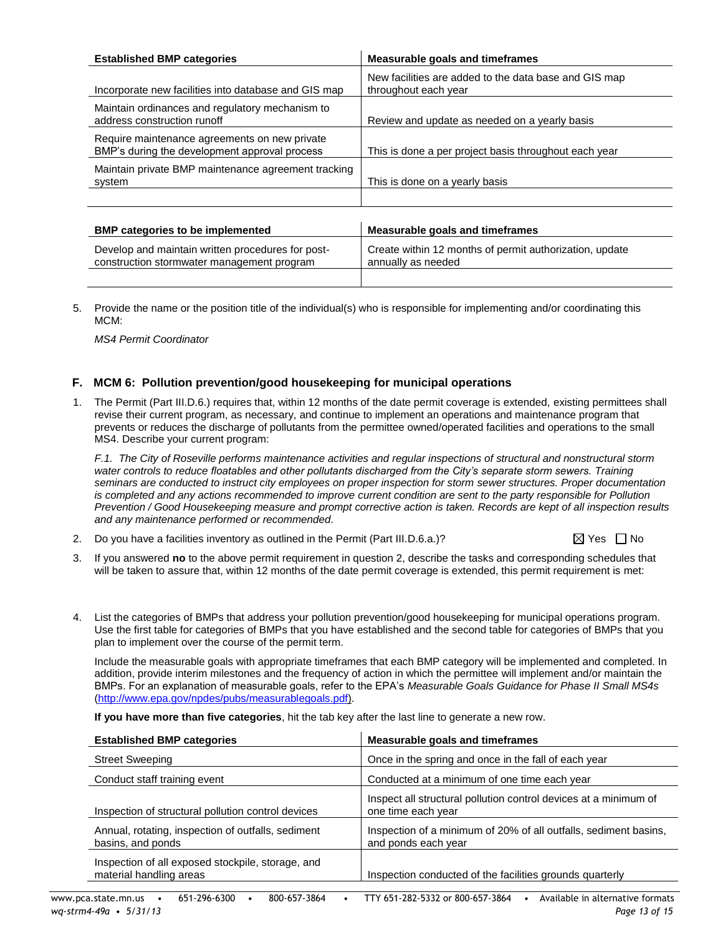| <b>Established BMP categories</b>                                                               | Measurable goals and timeframes                                               |
|-------------------------------------------------------------------------------------------------|-------------------------------------------------------------------------------|
| Incorporate new facilities into database and GIS map                                            | New facilities are added to the data base and GIS map<br>throughout each year |
| Maintain ordinances and regulatory mechanism to<br>address construction runoff                  | Review and update as needed on a yearly basis                                 |
| Require maintenance agreements on new private<br>BMP's during the development approval process  | This is done a per project basis throughout each year                         |
| Maintain private BMP maintenance agreement tracking<br>system                                   | This is done on a yearly basis                                                |
|                                                                                                 |                                                                               |
| <b>BMP</b> categories to be implemented                                                         | Measurable goals and timeframes                                               |
| Develop and maintain written procedures for post-<br>construction stormwater management program | Create within 12 months of permit authorization, update<br>annually as needed |
|                                                                                                 |                                                                               |

5. Provide the name or the position title of the individual(s) who is responsible for implementing and/or coordinating this MCM:

*MS4 Permit Coordinator*

## **F. MCM 6: Pollution prevention/good housekeeping for municipal operations**

1. The Permit (Part III.D.6.) requires that, within 12 months of the date permit coverage is extended, existing permittees shall revise their current program, as necessary, and continue to implement an operations and maintenance program that prevents or reduces the discharge of pollutants from the permittee owned/operated facilities and operations to the small MS4. Describe your current program:

*F.1. The City of Roseville performs maintenance activities and regular inspections of structural and nonstructural storm water controls to reduce floatables and other pollutants discharged from the City's separate storm sewers. Training seminars are conducted to instruct city employees on proper inspection for storm sewer structures. Proper documentation is completed and any actions recommended to improve current condition are sent to the party responsible for Pollution Prevention / Good Housekeeping measure and prompt corrective action is taken. Records are kept of all inspection results and any maintenance performed or recommended.*

- 2. Do you have a facilities inventory as outlined in the Permit (Part III.D.6.a.)?  $\boxtimes$  Yes  $\Box$  No
- 3. If you answered **no** to the above permit requirement in question 2, describe the tasks and corresponding schedules that will be taken to assure that, within 12 months of the date permit coverage is extended, this permit requirement is met:
- 4. List the categories of BMPs that address your pollution prevention/good housekeeping for municipal operations program. Use the first table for categories of BMPs that you have established and the second table for categories of BMPs that you plan to implement over the course of the permit term.

Include the measurable goals with appropriate timeframes that each BMP category will be implemented and completed. In addition, provide interim milestones and the frequency of action in which the permittee will implement and/or maintain the BMPs. For an explanation of measurable goals, refer to the EPA's *Measurable Goals Guidance for Phase II Small MS4s* [\(http://www.epa.gov/npdes/pubs/measurablegoals.pdf\)](http://www.epa.gov/npdes/pubs/measurablegoals.pdf).

**If you have more than five categories**, hit the tab key after the last line to generate a new row.

| <b>Established BMP categories</b>                                            | Measurable goals and timeframes                                                         |
|------------------------------------------------------------------------------|-----------------------------------------------------------------------------------------|
| <b>Street Sweeping</b>                                                       | Once in the spring and once in the fall of each year                                    |
| Conduct staff training event                                                 | Conducted at a minimum of one time each year                                            |
| Inspection of structural pollution control devices                           | Inspect all structural pollution control devices at a minimum of<br>one time each year  |
| Annual, rotating, inspection of outfalls, sediment<br>basins, and ponds      | Inspection of a minimum of 20% of all outfalls, sediment basins,<br>and ponds each year |
| Inspection of all exposed stockpile, storage, and<br>material handling areas | Inspection conducted of the facilities grounds quarterly                                |
|                                                                              |                                                                                         |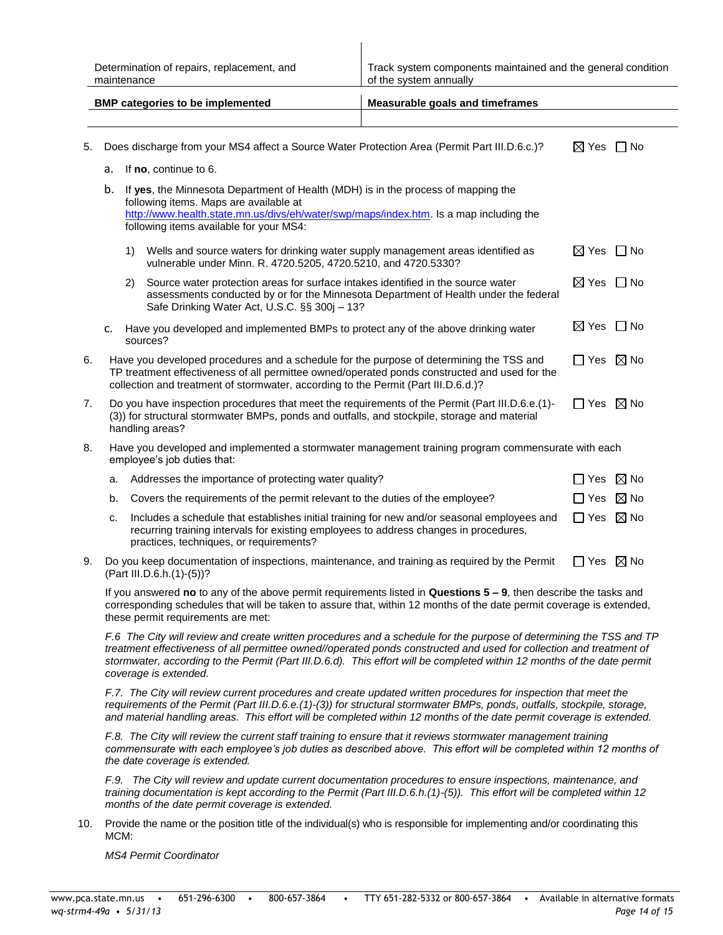|                                                                                                                                                                                                                                                                                                                                                                                                | Determination of repairs, replacement, and<br>maintenance                                                                                                                                                                                                                                                   |    |                                                                                                                                                                                                                                                                       | Track system components maintained and the general condition<br>of the system annually |                           |                |  |
|------------------------------------------------------------------------------------------------------------------------------------------------------------------------------------------------------------------------------------------------------------------------------------------------------------------------------------------------------------------------------------------------|-------------------------------------------------------------------------------------------------------------------------------------------------------------------------------------------------------------------------------------------------------------------------------------------------------------|----|-----------------------------------------------------------------------------------------------------------------------------------------------------------------------------------------------------------------------------------------------------------------------|----------------------------------------------------------------------------------------|---------------------------|----------------|--|
|                                                                                                                                                                                                                                                                                                                                                                                                |                                                                                                                                                                                                                                                                                                             |    | <b>BMP categories to be implemented</b>                                                                                                                                                                                                                               | <b>Measurable goals and timeframes</b>                                                 |                           |                |  |
|                                                                                                                                                                                                                                                                                                                                                                                                |                                                                                                                                                                                                                                                                                                             |    |                                                                                                                                                                                                                                                                       |                                                                                        |                           |                |  |
| 5.                                                                                                                                                                                                                                                                                                                                                                                             |                                                                                                                                                                                                                                                                                                             |    | Does discharge from your MS4 affect a Source Water Protection Area (Permit Part III.D.6.c.)?                                                                                                                                                                          |                                                                                        | $\boxtimes$ Yes $\Box$ No |                |  |
|                                                                                                                                                                                                                                                                                                                                                                                                | а.                                                                                                                                                                                                                                                                                                          |    | If no, continue to 6.                                                                                                                                                                                                                                                 |                                                                                        |                           |                |  |
|                                                                                                                                                                                                                                                                                                                                                                                                | b.                                                                                                                                                                                                                                                                                                          |    | If yes, the Minnesota Department of Health (MDH) is in the process of mapping the<br>following items. Maps are available at<br>http://www.health.state.mn.us/divs/eh/water/swp/maps/index.htm. Is a map including the<br>following items available for your MS4:      |                                                                                        |                           |                |  |
|                                                                                                                                                                                                                                                                                                                                                                                                |                                                                                                                                                                                                                                                                                                             | 1) | Wells and source waters for drinking water supply management areas identified as<br>vulnerable under Minn. R. 4720.5205, 4720.5210, and 4720.5330?                                                                                                                    |                                                                                        | $\boxtimes$ Yes $\Box$ No |                |  |
|                                                                                                                                                                                                                                                                                                                                                                                                |                                                                                                                                                                                                                                                                                                             | 2) | Source water protection areas for surface intakes identified in the source water<br>assessments conducted by or for the Minnesota Department of Health under the federal<br>Safe Drinking Water Act, U.S.C. §§ 300j - 13?                                             |                                                                                        | $\boxtimes$ Yes $\Box$ No |                |  |
|                                                                                                                                                                                                                                                                                                                                                                                                | c.                                                                                                                                                                                                                                                                                                          |    | Have you developed and implemented BMPs to protect any of the above drinking water<br>sources?                                                                                                                                                                        |                                                                                        | $\boxtimes$ Yes $\Box$ No |                |  |
| 6.                                                                                                                                                                                                                                                                                                                                                                                             | Have you developed procedures and a schedule for the purpose of determining the TSS and<br>$\Box$ Yes $\boxtimes$ No<br>TP treatment effectiveness of all permittee owned/operated ponds constructed and used for the<br>collection and treatment of stormwater, according to the Permit (Part III.D.6.d.)? |    |                                                                                                                                                                                                                                                                       |                                                                                        |                           |                |  |
| 7.                                                                                                                                                                                                                                                                                                                                                                                             | $\Box$ Yes $\boxtimes$ No<br>Do you have inspection procedures that meet the requirements of the Permit (Part III.D.6.e.(1)-<br>(3)) for structural stormwater BMPs, ponds and outfalls, and stockpile, storage and material<br>handling areas?                                                             |    |                                                                                                                                                                                                                                                                       |                                                                                        |                           |                |  |
| 8.                                                                                                                                                                                                                                                                                                                                                                                             |                                                                                                                                                                                                                                                                                                             |    | Have you developed and implemented a stormwater management training program commensurate with each<br>employee's job duties that:                                                                                                                                     |                                                                                        |                           |                |  |
|                                                                                                                                                                                                                                                                                                                                                                                                | a.                                                                                                                                                                                                                                                                                                          |    | Addresses the importance of protecting water quality?                                                                                                                                                                                                                 |                                                                                        | $\Box$ Yes $\boxtimes$ No |                |  |
|                                                                                                                                                                                                                                                                                                                                                                                                | b.                                                                                                                                                                                                                                                                                                          |    | Covers the requirements of the permit relevant to the duties of the employee?                                                                                                                                                                                         |                                                                                        | $\Box$ Yes                | $\boxtimes$ No |  |
|                                                                                                                                                                                                                                                                                                                                                                                                | c.                                                                                                                                                                                                                                                                                                          |    | Includes a schedule that establishes initial training for new and/or seasonal employees and<br>recurring training intervals for existing employees to address changes in procedures,<br>practices, techniques, or requirements?                                       |                                                                                        | $\Box$ Yes $\boxtimes$ No |                |  |
| 9.                                                                                                                                                                                                                                                                                                                                                                                             |                                                                                                                                                                                                                                                                                                             |    | Do you keep documentation of inspections, maintenance, and training as required by the Permit<br>(Part III.D.6.h.(1)-(5))?                                                                                                                                            |                                                                                        | $\Box$ Yes $\boxtimes$ No |                |  |
|                                                                                                                                                                                                                                                                                                                                                                                                | If you answered no to any of the above permit requirements listed in Questions 5 - 9, then describe the tasks and<br>corresponding schedules that will be taken to assure that, within 12 months of the date permit coverage is extended,<br>these permit requirements are met:                             |    |                                                                                                                                                                                                                                                                       |                                                                                        |                           |                |  |
| F.6 The City will review and create written procedures and a schedule for the purpose of determining the TSS and TP<br>treatment effectiveness of all permittee owned//operated ponds constructed and used for collection and treatment of<br>stormwater, according to the Permit (Part III.D.6.d). This effort will be completed within 12 months of the date permit<br>coverage is extended. |                                                                                                                                                                                                                                                                                                             |    |                                                                                                                                                                                                                                                                       |                                                                                        |                           |                |  |
| F.7. The City will review current procedures and create updated written procedures for inspection that meet the<br>requirements of the Permit (Part III.D.6.e.(1)-(3)) for structural stormwater BMPs, ponds, outfalls, stockpile, storage,<br>and material handling areas. This effort will be completed within 12 months of the date permit coverage is extended.                            |                                                                                                                                                                                                                                                                                                             |    |                                                                                                                                                                                                                                                                       |                                                                                        |                           |                |  |
|                                                                                                                                                                                                                                                                                                                                                                                                |                                                                                                                                                                                                                                                                                                             |    | F.8. The City will review the current staff training to ensure that it reviews stormwater management training<br>commensurate with each employee's job duties as described above. This effort will be completed within 12 months of<br>the date coverage is extended. |                                                                                        |                           |                |  |
|                                                                                                                                                                                                                                                                                                                                                                                                |                                                                                                                                                                                                                                                                                                             |    | F.9. The City will review and update current documentation procedures to ensure inspections, maintenance, and<br>training documentation is kept according to the Permit (Part III.D.6.h.(1)-(5)). This effort will be completed within 12                             |                                                                                        |                           |                |  |

10. Provide the name or the position title of the individual(s) who is responsible for implementing and/or coordinating this MCM:

*MS4 Permit Coordinator*

*months of the date permit coverage is extended.*